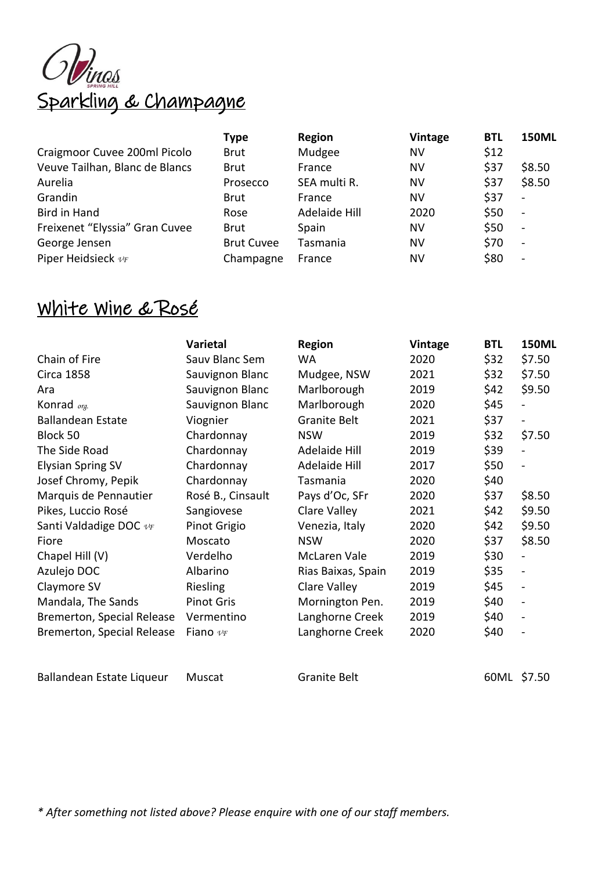

|                                | <b>Type</b>       | Region        | <b>Vintage</b> | <b>BTL</b> | <b>150ML</b>             |
|--------------------------------|-------------------|---------------|----------------|------------|--------------------------|
| Craigmoor Cuvee 200ml Picolo   | <b>Brut</b>       | Mudgee        | NV             | \$12       |                          |
| Veuve Tailhan, Blanc de Blancs | <b>Brut</b>       | France        | NV             | \$37       | \$8.50                   |
| Aurelia                        | Prosecco          | SEA multi R.  | NV             | \$37       | \$8.50                   |
| Grandin                        | <b>Brut</b>       | France        | NV             | \$37       | $\blacksquare$           |
| <b>Bird in Hand</b>            | Rose              | Adelaide Hill | 2020           | \$50       | $\overline{\phantom{a}}$ |
| Freixenet "Elyssia" Gran Cuvee | <b>Brut</b>       | Spain         | NV             | \$50       | $\overline{\phantom{a}}$ |
| George Jensen                  | <b>Brut Cuvee</b> | Tasmania      | NV             | \$70       | $\overline{\phantom{a}}$ |
| Piper Heidsieck vF             | Champagne         | France        | ΝV             | \$80       | $\overline{\phantom{a}}$ |

## White Wine & Rosé

|                                   | Varietal          | <b>Region</b>       | Vintage | <b>BTL</b> | <b>150ML</b>                 |
|-----------------------------------|-------------------|---------------------|---------|------------|------------------------------|
| Chain of Fire                     | Sauv Blanc Sem    | WA.                 | 2020    | \$32       | \$7.50                       |
| <b>Circa 1858</b>                 | Sauvignon Blanc   | Mudgee, NSW         | 2021    | \$32       | \$7.50                       |
| Ara                               | Sauvignon Blanc   | Marlborough         | 2019    | \$42       | \$9.50                       |
| Konrad <sub>org.</sub>            | Sauvignon Blanc   | Marlborough         | 2020    | \$45       |                              |
| <b>Ballandean Estate</b>          | Viognier          | <b>Granite Belt</b> | 2021    | \$37       | $\blacksquare$               |
| Block 50                          | Chardonnay        | <b>NSW</b>          | 2019    | \$32       | \$7.50                       |
| The Side Road                     | Chardonnay        | Adelaide Hill       | 2019    | \$39       | $\frac{1}{2}$                |
| <b>Elysian Spring SV</b>          | Chardonnay        | Adelaide Hill       | 2017    | \$50       | $\overline{\phantom{a}}$     |
| Josef Chromy, Pepik               | Chardonnay        | Tasmania            | 2020    | \$40       |                              |
| Marquis de Pennautier             | Rosé B., Cinsault | Pays d'Oc, SFr      | 2020    | \$37       | \$8.50                       |
| Pikes, Luccio Rosé                | Sangiovese        | Clare Valley        | 2021    | \$42       | \$9.50                       |
| Santi Valdadige DOC vF            | Pinot Grigio      | Venezia, Italy      | 2020    | \$42       | \$9.50                       |
| Fiore                             | Moscato           | <b>NSW</b>          | 2020    | \$37       | \$8.50                       |
| Chapel Hill (V)                   | Verdelho          | McLaren Vale        | 2019    | \$30       | $\overline{\phantom{a}}$     |
| Azulejo DOC                       | Albarino          | Rias Baixas, Spain  | 2019    | \$35       | $\overline{\phantom{m}}$     |
| Claymore SV                       | Riesling          | Clare Valley        | 2019    | \$45       | $\qquad \qquad \blacksquare$ |
| Mandala, The Sands                | <b>Pinot Gris</b> | Mornington Pen.     | 2019    | \$40       | $\overline{\phantom{m}}$     |
| Bremerton, Special Release        | Vermentino        | Langhorne Creek     | 2019    | \$40       | $\overline{\phantom{a}}$     |
| <b>Bremerton, Special Release</b> | Fiano $v_F$       | Langhorne Creek     | 2020    | \$40       | $\overline{\phantom{m}}$     |
|                                   |                   |                     |         |            |                              |

Ballandean Estate Liqueur Muscat Granite Belt 60ML \$7.50

*\* After something not listed above? Please enquire with one of our staff members.*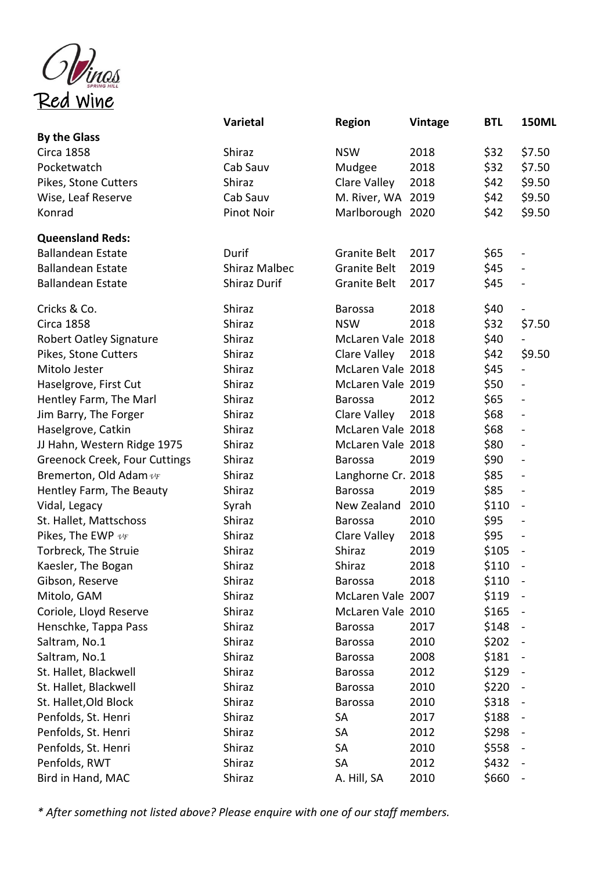

|                                      | Varietal             | <b>Region</b>       | <b>Vintage</b> | <b>BTL</b> | <b>150ML</b>                 |
|--------------------------------------|----------------------|---------------------|----------------|------------|------------------------------|
| <b>By the Glass</b>                  |                      |                     |                |            |                              |
| <b>Circa 1858</b>                    | Shiraz               | <b>NSW</b>          | 2018           | \$32       | \$7.50                       |
| Pocketwatch                          | Cab Sauv             | Mudgee              | 2018           | \$32       | \$7.50                       |
| Pikes, Stone Cutters                 | Shiraz               | Clare Valley        | 2018           | \$42       | \$9.50                       |
| Wise, Leaf Reserve                   | Cab Sauv             | M. River, WA 2019   |                | \$42       | \$9.50                       |
| Konrad                               | <b>Pinot Noir</b>    | Marlborough 2020    |                | \$42       | \$9.50                       |
| <b>Queensland Reds:</b>              |                      |                     |                |            |                              |
| <b>Ballandean Estate</b>             | Durif                | <b>Granite Belt</b> | 2017           | \$65       | $\qquad \qquad \blacksquare$ |
| <b>Ballandean Estate</b>             | <b>Shiraz Malbec</b> | <b>Granite Belt</b> | 2019           | \$45       | $\blacksquare$               |
| <b>Ballandean Estate</b>             | <b>Shiraz Durif</b>  | Granite Belt        | 2017           | \$45       | $\blacksquare$               |
| Cricks & Co.                         | Shiraz               | <b>Barossa</b>      | 2018           | \$40       | $\qquad \qquad \blacksquare$ |
| <b>Circa 1858</b>                    | Shiraz               | <b>NSW</b>          | 2018           | \$32       | \$7.50                       |
| Robert Oatley Signature              | Shiraz               | McLaren Vale 2018   |                | \$40       | $\overline{\phantom{0}}$     |
| Pikes, Stone Cutters                 | Shiraz               | Clare Valley        | 2018           | \$42       | \$9.50                       |
| Mitolo Jester                        | Shiraz               | McLaren Vale 2018   |                | \$45       | $\overline{a}$               |
| Haselgrove, First Cut                | Shiraz               | McLaren Vale 2019   |                | \$50       | $\blacksquare$               |
| Hentley Farm, The Marl               | Shiraz               | <b>Barossa</b>      | 2012           | \$65       | $\blacksquare$               |
| Jim Barry, The Forger                | Shiraz               | Clare Valley        | 2018           | \$68       | $\blacksquare$               |
| Haselgrove, Catkin                   | Shiraz               | McLaren Vale 2018   |                | \$68       | $\blacksquare$               |
| JJ Hahn, Western Ridge 1975          | Shiraz               | McLaren Vale 2018   |                | \$80       | $\qquad \qquad \blacksquare$ |
| <b>Greenock Creek, Four Cuttings</b> | Shiraz               | <b>Barossa</b>      | 2019           | \$90       | $\overline{\phantom{a}}$     |
| Bremerton, Old Adam $v_F$            | Shiraz               | Langhorne Cr. 2018  |                | \$85       | $\qquad \qquad \blacksquare$ |
| Hentley Farm, The Beauty             | Shiraz               | <b>Barossa</b>      | 2019           | \$85       | $\qquad \qquad \blacksquare$ |
| Vidal, Legacy                        | Syrah                | New Zealand         | 2010           | \$110      | $\blacksquare$               |
| St. Hallet, Mattschoss               | Shiraz               | <b>Barossa</b>      | 2010           | \$95       | $\blacksquare$               |
| Pikes, The EWP $v_F$                 | Shiraz               | Clare Valley        | 2018           | \$95       | $\blacksquare$               |
| Torbreck, The Struie                 | Shiraz               | Shiraz              | 2019           | \$105      | $\blacksquare$               |
| Kaesler, The Bogan                   | Shiraz               | Shiraz              | 2018           | \$110      | $\frac{1}{2}$                |
| Gibson, Reserve                      | Shiraz               | Barossa             | 2018           | \$110      |                              |
| Mitolo, GAM                          | Shiraz               | McLaren Vale 2007   |                | \$119      | $\qquad \qquad \blacksquare$ |
| Coriole, Lloyd Reserve               | Shiraz               | McLaren Vale 2010   |                | \$165      |                              |
| Henschke, Tappa Pass                 | Shiraz               | <b>Barossa</b>      | 2017           | \$148      | $\qquad \qquad \blacksquare$ |
| Saltram, No.1                        | Shiraz               | <b>Barossa</b>      | 2010           | \$202      |                              |
| Saltram, No.1                        | Shiraz               | <b>Barossa</b>      | 2008           | \$181      | $\qquad \qquad \blacksquare$ |
| St. Hallet, Blackwell                | Shiraz               | <b>Barossa</b>      | 2012           | \$129      | $\blacksquare$               |
| St. Hallet, Blackwell                | Shiraz               | <b>Barossa</b>      | 2010           | \$220      | $\qquad \qquad \blacksquare$ |
| St. Hallet, Old Block                | Shiraz               | <b>Barossa</b>      | 2010           | \$318      |                              |
| Penfolds, St. Henri                  | Shiraz               | SA                  | 2017           | \$188      | $\blacksquare$               |
| Penfolds, St. Henri                  | Shiraz               | SA                  | 2012           | \$298      | $\qquad \qquad \blacksquare$ |
| Penfolds, St. Henri                  | Shiraz               | SA                  | 2010           | \$558      | $\blacksquare$               |
| Penfolds, RWT                        | Shiraz               | SA                  | 2012           | \$432      | $\qquad \qquad \blacksquare$ |
| Bird in Hand, MAC                    | Shiraz               | A. Hill, SA         | 2010           | \$660      |                              |

*\* After something not listed above? Please enquire with one of our staff members.*